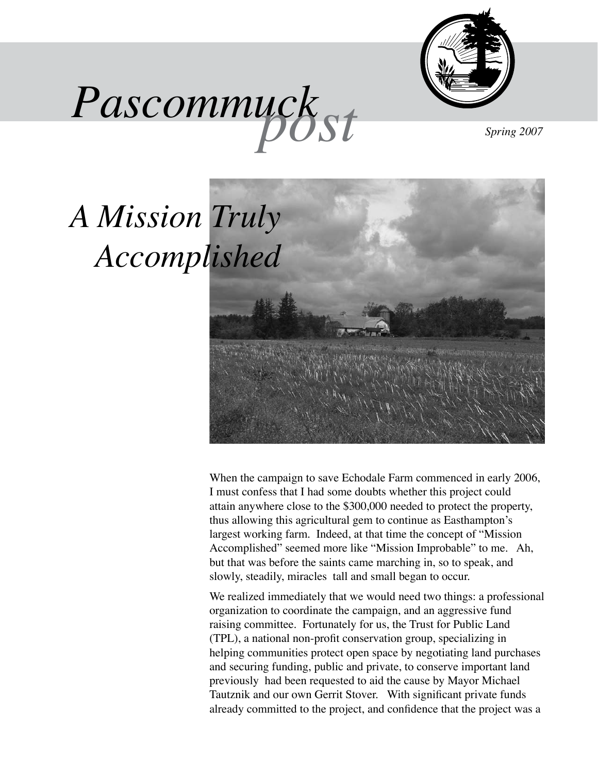







When the campaign to save Echodale Farm commenced in early 2006, I must confess that I had some doubts whether this project could attain anywhere close to the \$300,000 needed to protect the property, thus allowing this agricultural gem to continue as Easthampton's largest working farm. Indeed, at that time the concept of "Mission Accomplished" seemed more like "Mission Improbable" to me. Ah, but that was before the saints came marching in, so to speak, and slowly, steadily, miracles tall and small began to occur.

We realized immediately that we would need two things: a professional organization to coordinate the campaign, and an aggressive fund raising committee. Fortunately for us, the Trust for Public Land (TPL), a national non-profit conservation group, specializing in helping communities protect open space by negotiating land purchases and securing funding, public and private, to conserve important land previously had been requested to aid the cause by Mayor Michael Tautznik and our own Gerrit Stover. With significant private funds already committed to the project, and confidence that the project was a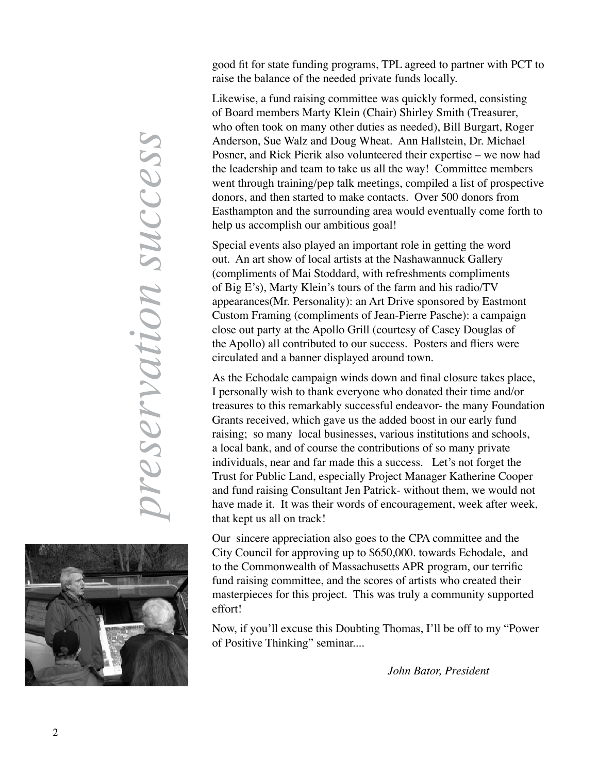good fit for state funding programs, TPL agreed to partner with PCT to raise the balance of the needed private funds locally.

Likewise, a fund raising committee was quickly formed, consisting of Board members Marty Klein (Chair) Shirley Smith (Treasurer, who often took on many other duties as needed), Bill Burgart, Roger Anderson, Sue Walz and Doug Wheat. Ann Hallstein, Dr. Michael Posner, and Rick Pierik also volunteered their expertise – we now had the leadership and team to take us all the way! Committee members went through training/pep talk meetings, compiled a list of prospective donors, and then started to make contacts. Over 500 donors from Easthampton and the surrounding area would eventually come forth to help us accomplish our ambitious goal!

Special events also played an important role in getting the word out. An art show of local artists at the Nashawannuck Gallery (compliments of Mai Stoddard, with refreshments compliments of Big E's), Marty Klein's tours of the farm and his radio/TV appearances(Mr. Personality): an Art Drive sponsored by Eastmont Custom Framing (compliments of Jean-Pierre Pasche): a campaign close out party at the Apollo Grill (courtesy of Casey Douglas of the Apollo) all contributed to our success. Posters and fliers were circulated and a banner displayed around town.

As the Echodale campaign winds down and final closure takes place, I personally wish to thank everyone who donated their time and/or treasures to this remarkably successful endeavor- the many Foundation Grants received, which gave us the added boost in our early fund raising; so many local businesses, various institutions and schools, a local bank, and of course the contributions of so many private individuals, near and far made this a success. Let's not forget the Trust for Public Land, especially Project Manager Katherine Cooper and fund raising Consultant Jen Patrick- without them, we would not have made it. It was their words of encouragement, week after week, that kept us all on track!

Our sincere appreciation also goes to the CPA committee and the City Council for approving up to \$650,000. towards Echodale, and to the Commonwealth of Massachusetts APR program, our terrific fund raising committee, and the scores of artists who created their masterpieces for this project. This was truly a community supported effort!

Now, if you'll excuse this Doubting Thomas, I'll be off to my "Power of Positive Thinking" seminar....

 *John Bator, President*

*preservation success*preservation success

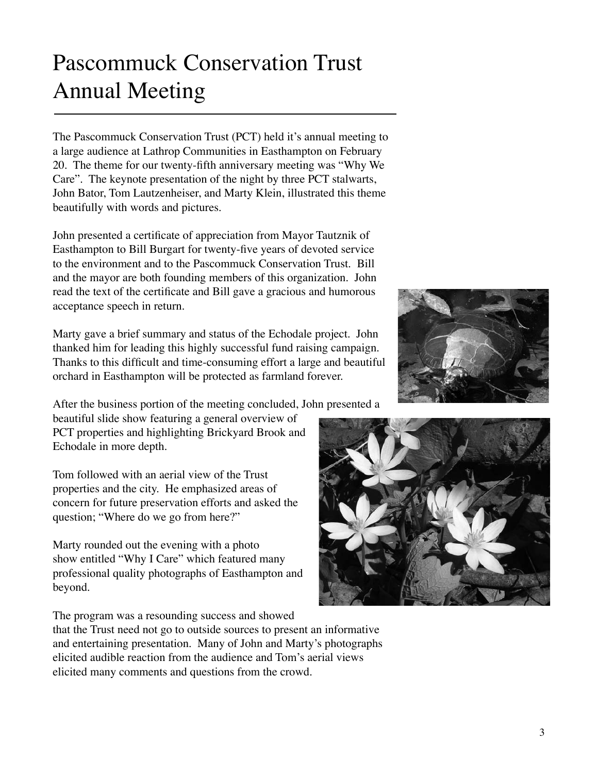## Pascommuck Conservation Trust Annual Meeting

The Pascommuck Conservation Trust (PCT) held it's annual meeting to a large audience at Lathrop Communities in Easthampton on February 20. The theme for our twenty-fifth anniversary meeting was "Why We Care". The keynote presentation of the night by three PCT stalwarts, John Bator, Tom Lautzenheiser, and Marty Klein, illustrated this theme beautifully with words and pictures.

John presented a certificate of appreciation from Mayor Tautznik of Easthampton to Bill Burgart for twenty-five years of devoted service to the environment and to the Pascommuck Conservation Trust. Bill and the mayor are both founding members of this organization. John read the text of the certificate and Bill gave a gracious and humorous acceptance speech in return.

Marty gave a brief summary and status of the Echodale project. John thanked him for leading this highly successful fund raising campaign. Thanks to this difficult and time-consuming effort a large and beautiful orchard in Easthampton will be protected as farmland forever.

After the business portion of the meeting concluded, John presented a

beautiful slide show featuring a general overview of PCT properties and highlighting Brickyard Brook and Echodale in more depth.

Tom followed with an aerial view of the Trust properties and the city. He emphasized areas of concern for future preservation efforts and asked the question; "Where do we go from here?"

Marty rounded out the evening with a photo show entitled "Why I Care" which featured many professional quality photographs of Easthampton and beyond.

The program was a resounding success and showed that the Trust need not go to outside sources to present an informative and entertaining presentation. Many of John and Marty's photographs elicited audible reaction from the audience and Tom's aerial views elicited many comments and questions from the crowd.



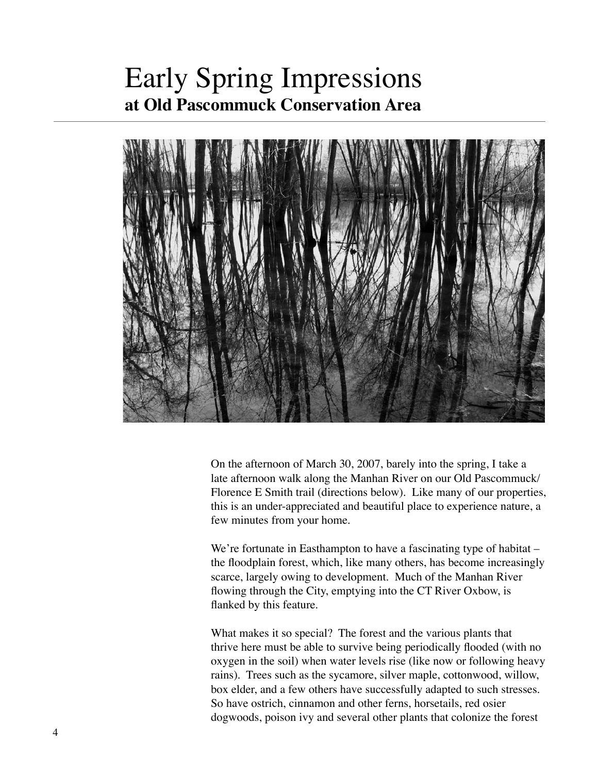### Early Spring Impressions **at Old Pascommuck Conservation Area**



On the afternoon of March 30, 2007, barely into the spring, I take a late afternoon walk along the Manhan River on our Old Pascommuck/ Florence E Smith trail (directions below). Like many of our properties, this is an under-appreciated and beautiful place to experience nature, a few minutes from your home.

We're fortunate in Easthampton to have a fascinating type of habitat – the floodplain forest, which, like many others, has become increasingly scarce, largely owing to development. Much of the Manhan River flowing through the City, emptying into the CT River Oxbow, is flanked by this feature.

What makes it so special? The forest and the various plants that thrive here must be able to survive being periodically flooded (with no oxygen in the soil) when water levels rise (like now or following heavy rains). Trees such as the sycamore, silver maple, cottonwood, willow, box elder, and a few others have successfully adapted to such stresses. So have ostrich, cinnamon and other ferns, horsetails, red osier dogwoods, poison ivy and several other plants that colonize the forest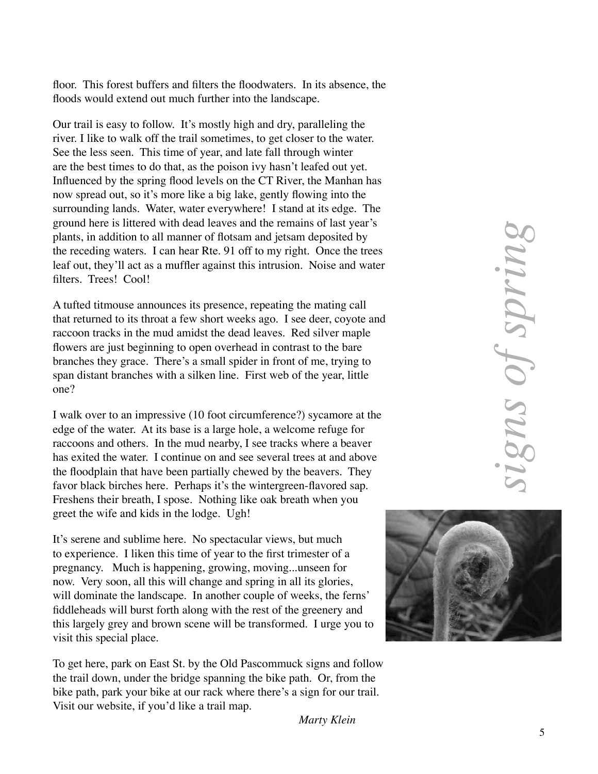floor. This forest buffers and filters the floodwaters. In its absence, the floods would extend out much further into the landscape.

Our trail is easy to follow. It's mostly high and dry, paralleling the river. I like to walk off the trail sometimes, to get closer to the water. See the less seen. This time of year, and late fall through winter are the best times to do that, as the poison ivy hasn't leafed out yet. Influenced by the spring flood levels on the CT River, the Manhan has now spread out, so it's more like a big lake, gently flowing into the surrounding lands. Water, water everywhere! I stand at its edge. The ground here is littered with dead leaves and the remains of last year's plants, in addition to all manner of flotsam and jetsam deposited by the receding waters. I can hear Rte. 91 off to my right. Once the trees leaf out, they'll act as a muffler against this intrusion. Noise and water filters. Trees! Cool!

A tufted titmouse announces its presence, repeating the mating call that returned to its throat a few short weeks ago. I see deer, coyote and raccoon tracks in the mud amidst the dead leaves. Red silver maple flowers are just beginning to open overhead in contrast to the bare branches they grace. There's a small spider in front of me, trying to span distant branches with a silken line. First web of the year, little one?

I walk over to an impressive (10 foot circumference?) sycamore at the edge of the water. At its base is a large hole, a welcome refuge for raccoons and others. In the mud nearby, I see tracks where a beaver has exited the water. I continue on and see several trees at and above the floodplain that have been partially chewed by the beavers. They favor black birches here. Perhaps it's the wintergreen-flavored sap. Freshens their breath, I spose. Nothing like oak breath when you greet the wife and kids in the lodge. Ugh!

It's serene and sublime here. No spectacular views, but much to experience. I liken this time of year to the first trimester of a pregnancy. Much is happening, growing, moving...unseen for now. Very soon, all this will change and spring in all its glories, will dominate the landscape. In another couple of weeks, the ferns' fiddleheads will burst forth along with the rest of the greenery and this largely grey and brown scene will be transformed. I urge you to visit this special place.

To get here, park on East St. by the Old Pascommuck signs and follow the trail down, under the bridge spanning the bike path. Or, from the bike path, park your bike at our rack where there's a sign for our trail. Visit our website, if you'd like a trail map.



*Marty Klein*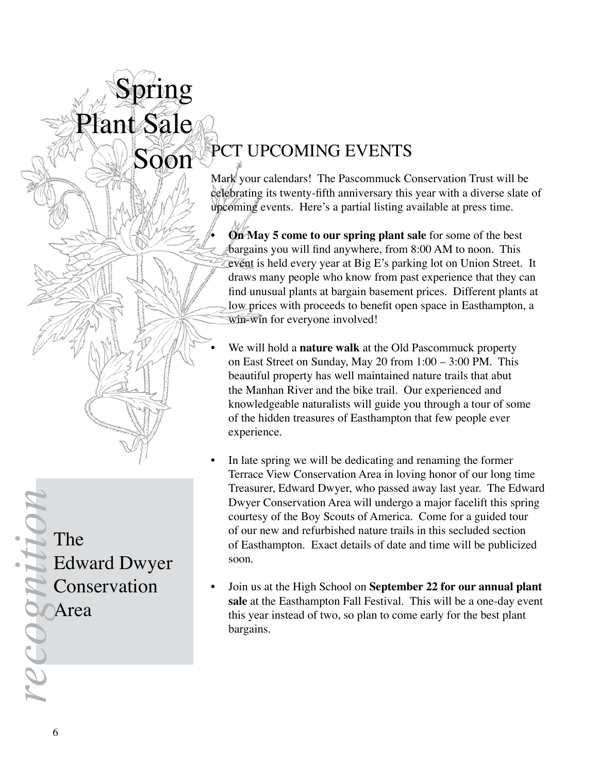# Soon PCT UPCOMING EVENTS

Mark your calendars! The Pascommuck Conservation Trust will be celebrating its twenty-fifth anniversary this year with a diverse slate of upcoming events. Here's a partial listing available at press time.

• **On May 5 come to our spring plant sale** for some of the best bargains you will find anywhere, from 8:00 AM to noon. This event is held every year at Big E's parking lot on Union Street. It draws many people who know from past experience that they can find unusual plants at bargain basement prices. Different plants at low prices with proceeds to benefit open space in Easthampton, a win-win for everyone involved!

- We will hold a **nature walk** at the Old Pascommuck property on East Street on Sunday, May 20 from 1:00 – 3:00 PM. This beautiful property has well maintained nature trails that abut the Manhan River and the bike trail. Our experienced and knowledgeable naturalists will guide you through a tour of some of the hidden treasures of Easthampton that few people ever experience.
- In late spring we will be dedicating and renaming the former Terrace View Conservation Area in loving honor of our long time Treasurer, Edward Dwyer, who passed away last year. The Edward Dwyer Conservation Area will undergo a major facelift this spring courtesy of the Boy Scouts of America. Come for a guided tour of our new and refurbished nature trails in this secluded section of Easthampton. Exact details of date and time will be publicized soon.
- Join us at the High School on **September 22 for our annual plant sale** at the Easthampton Fall Festival. This will be a one-day event this year instead of two, so plan to come early for the best plant bargains.

The **References**<br> **recognition**<br> **recognition** 

Edward Dwyer Conservation

Spring

Plant Sale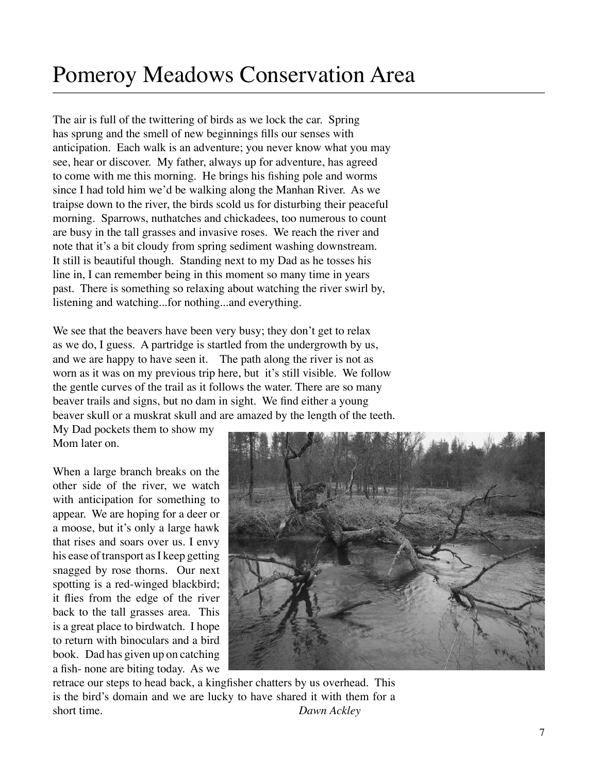The air is full of the twittering of birds as we lock the car. Spring has sprung and the smell of new beginnings fills our senses with anticipation. Each walk is an adventure; you never know what you may see, hear or discover. My father, always up for adventure, has agreed to come with me this morning. He brings his fishing pole and worms since I had told him we'd be walking along the Manhan River. As we traipse down to the river, the birds scold us for disturbing their peaceful morning. Sparrows, nuthatches and chickadees, too numerous to count are busy in the tall grasses and invasive roses. We reach the river and note that it's a bit cloudy from spring sediment washing downstream. It still is beautiful though. Standing next to my Dad as he tosses his line in, I can remember being in this moment so many time in years past. There is something so relaxing about watching the river swirl by, listening and watching...for nothing...and everything.

We see that the beavers have been very busy; they don't get to relax as we do, I guess. A partridge is startled from the undergrowth by us, and we are happy to have seen it. The path along the river is not as worn as it was on my previous trip here, but it's still visible. We follow the gentle curves of the trail as it follows the water. There are so many beaver trails and signs, but no dam in sight. We find either a young beaver skull or a muskrat skull and are amazed by the length of the teeth.

My Dad pockets them to show my Mom later on.

When a large branch breaks on the other side of the river, we watch with anticipation for something to appear. We are hoping for a deer or a moose, but it's only a large hawk that rises and soars over us. I envy his ease of transport as I keep getting snagged by rose thorns. Our next spotting is a red-winged blackbird; it flies from the edge of the river back to the tall grasses area. This is a great place to birdwatch. I hope to return with binoculars and a bird book. Dad has given up on catching a fish- none are biting today. As we



retrace our steps to head back, a kingfisher chatters by us overhead. This is the bird's domain and we are lucky to have shared it with them for a short time. *Dawn Ackley*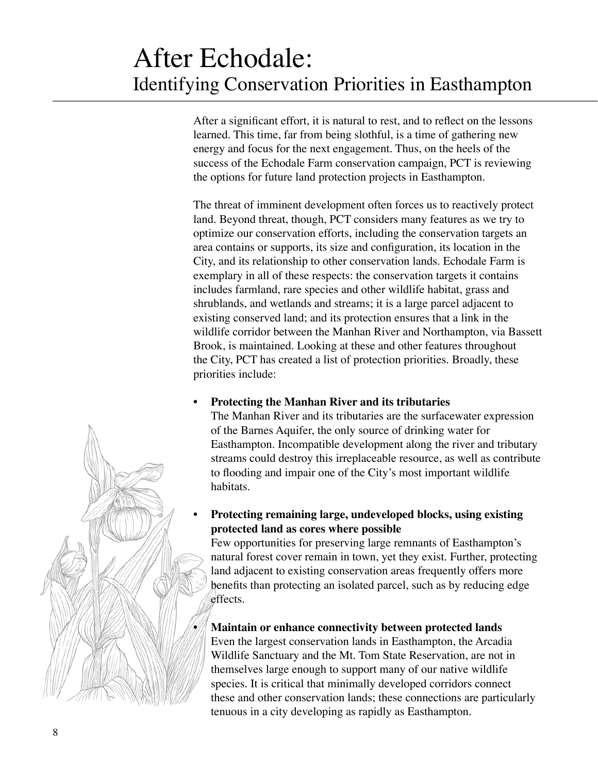### After Echodale: Identifying Conservation Priorities in Easthampton

After a significant effort, it is natural to rest, and to reflect on the lessons learned. This time, far from being slothful, is a time of gathering new energy and focus for the next engagement. Thus, on the heels of the success of the Echodale Farm conservation campaign, PCT is reviewing the options for future land protection projects in Easthampton.

The threat of imminent development often forces us to reactively protect land. Beyond threat, though, PCT considers many features as we try to optimize our conservation efforts, including the conservation targets an area contains or supports, its size and configuration, its location in the City, and its relationship to other conservation lands. Echodale Farm is exemplary in all of these respects: the conservation targets it contains includes farmland, rare species and other wildlife habitat, grass and shrublands, and wetlands and streams; it is a large parcel adjacent to existing conserved land; and its protection ensures that a link in the wildlife corridor between the Manhan River and Northampton, via Bassett Brook, is maintained. Looking at these and other features throughout the City, PCT has created a list of protection priorities. Broadly, these priorities include:

#### **• Protecting the Manhan River and its tributaries**

The Manhan River and its tributaries are the surfacewater expression of the Barnes Aquifer, the only source of drinking water for Easthampton. Incompatible development along the river and tributary streams could destroy this irreplaceable resource, as well as contribute to flooding and impair one of the City's most important wildlife habitats.

#### • **Protecting remaining large, undeveloped blocks, using existing protected land as cores where possible**

Few opportunities for preserving large remnants of Easthampton's natural forest cover remain in town, yet they exist. Further, protecting land adjacent to existing conservation areas frequently offers more benefits than protecting an isolated parcel, such as by reducing edge effects.

#### **• Maintain or enhance connectivity between protected lands**

Even the largest conservation lands in Easthampton, the Arcadia Wildlife Sanctuary and the Mt. Tom State Reservation, are not in themselves large enough to support many of our native wildlife species. It is critical that minimally developed corridors connect these and other conservation lands; these connections are particularly tenuous in a city developing as rapidly as Easthampton.

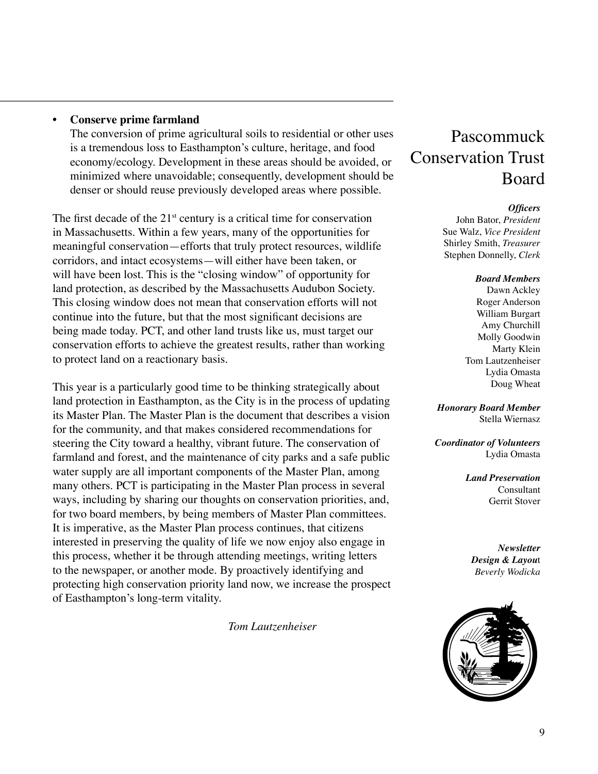#### **• Conserve prime farmland**

The conversion of prime agricultural soils to residential or other uses is a tremendous loss to Easthampton's culture, heritage, and food economy/ecology. Development in these areas should be avoided, or minimized where unavoidable; consequently, development should be denser or should reuse previously developed areas where possible.

The first decade of the  $21<sup>st</sup>$  century is a critical time for conservation in Massachusetts. Within a few years, many of the opportunities for meaningful conservation—efforts that truly protect resources, wildlife corridors, and intact ecosystems—will either have been taken, or will have been lost. This is the "closing window" of opportunity for land protection, as described by the Massachusetts Audubon Society. This closing window does not mean that conservation efforts will not continue into the future, but that the most significant decisions are being made today. PCT, and other land trusts like us, must target our conservation efforts to achieve the greatest results, rather than working to protect land on a reactionary basis.

This year is a particularly good time to be thinking strategically about land protection in Easthampton, as the City is in the process of updating its Master Plan. The Master Plan is the document that describes a vision for the community, and that makes considered recommendations for steering the City toward a healthy, vibrant future. The conservation of farmland and forest, and the maintenance of city parks and a safe public water supply are all important components of the Master Plan, among many others. PCT is participating in the Master Plan process in several ways, including by sharing our thoughts on conservation priorities, and, for two board members, by being members of Master Plan committees. It is imperative, as the Master Plan process continues, that citizens interested in preserving the quality of life we now enjoy also engage in this process, whether it be through attending meetings, writing letters to the newspaper, or another mode. By proactively identifying and protecting high conservation priority land now, we increase the prospect of Easthampton's long-term vitality.

 *Tom Lautzenheiser*

### Pascommuck Conservation Trust Board

#### *Officers*

John Bator, *President* Sue Walz, *Vice President* Shirley Smith, *Treasurer* Stephen Donnelly, *Clerk*

#### *Board Members*

Dawn Ackley Roger Anderson William Burgart Amy Churchill Molly Goodwin Marty Klein Tom Lautzenheiser Lydia Omasta Doug Wheat

*Honorary Board Member* Stella Wiernasz

*Coordinator of Volunteers* Lydia Omasta

> *Land Preservation* Consultant Gerrit Stover

*Newsletter Design & Layou*t *Beverly Wodicka*